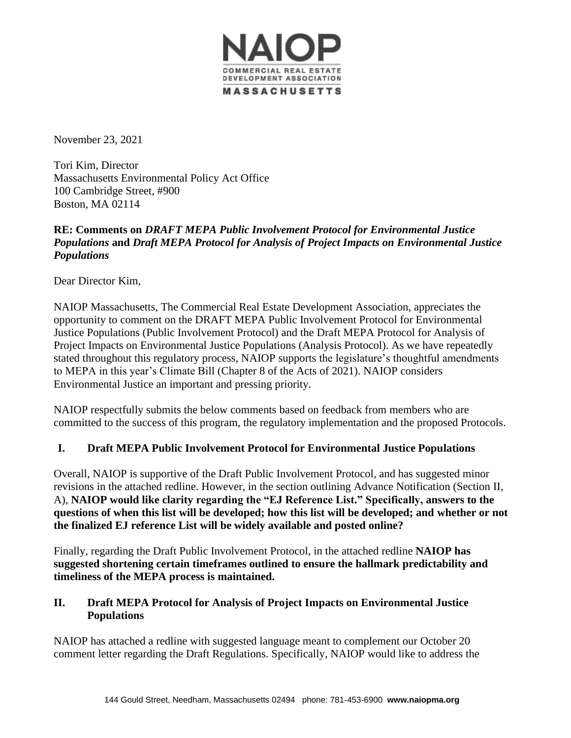

November 23, 2021

Tori Kim, Director Massachusetts Environmental Policy Act Office 100 Cambridge Street, #900 Boston, MA 02114

# **RE: Comments on** *DRAFT MEPA Public Involvement Protocol for Environmental Justice Populations* **and** *Draft MEPA Protocol for Analysis of Project Impacts on Environmental Justice Populations*

Dear Director Kim,

NAIOP Massachusetts, The Commercial Real Estate Development Association, appreciates the opportunity to comment on the DRAFT MEPA Public Involvement Protocol for Environmental Justice Populations (Public Involvement Protocol) and the Draft MEPA Protocol for Analysis of Project Impacts on Environmental Justice Populations (Analysis Protocol). As we have repeatedly stated throughout this regulatory process, NAIOP supports the legislature's thoughtful amendments to MEPA in this year's Climate Bill (Chapter 8 of the Acts of 2021). NAIOP considers Environmental Justice an important and pressing priority.

NAIOP respectfully submits the below comments based on feedback from members who are committed to the success of this program, the regulatory implementation and the proposed Protocols.

# **I. Draft MEPA Public Involvement Protocol for Environmental Justice Populations**

Overall, NAIOP is supportive of the Draft Public Involvement Protocol, and has suggested minor revisions in the attached redline. However, in the section outlining Advance Notification (Section II, A), **NAIOP would like clarity regarding the "EJ Reference List." Specifically, answers to the questions of when this list will be developed; how this list will be developed; and whether or not the finalized EJ reference List will be widely available and posted online?**

Finally, regarding the Draft Public Involvement Protocol, in the attached redline **NAIOP has suggested shortening certain timeframes outlined to ensure the hallmark predictability and timeliness of the MEPA process is maintained.** 

# **II. Draft MEPA Protocol for Analysis of Project Impacts on Environmental Justice Populations**

NAIOP has attached a redline with suggested language meant to complement our October 20 comment letter regarding the Draft Regulations and NAIOP's proposed Environmental Justice Certification. Specifically, NAIOP would like to address the Applicability of the EIR Requirement given this is an ongoing discussion with the MEPA Advisory Group.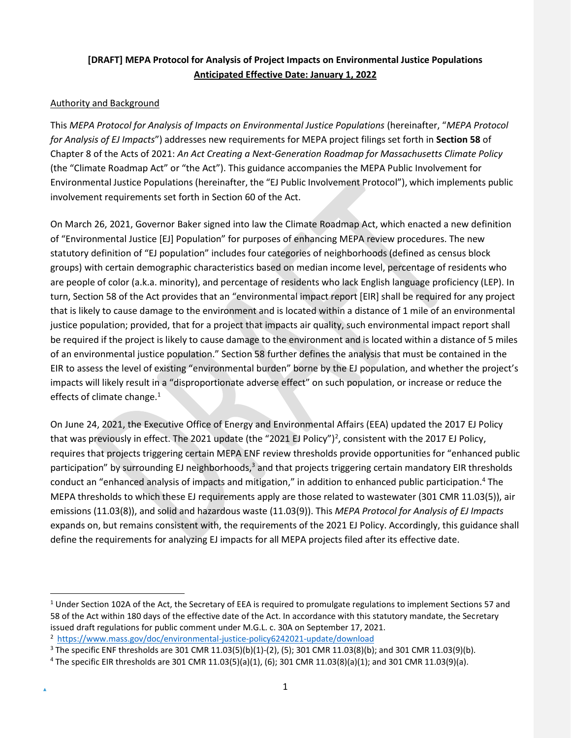# **[DRAFT] MEPA Protocol for Analysis of Project Impacts on Environmental Justice Populations Anticipated Effective Date: January 1, 2022**

## Authority and Background

This *MEPA Protocol for Analysis of Impacts on Environmental Justice Populations* (hereinafter, "*MEPA Protocol for Analysis of EJ Impacts*") addresses new requirements for MEPA project filings set forth in **Section 58** of Chapter 8 of the Acts of 2021: *An Act Creating a Next-Generation Roadmap for Massachusetts Climate Policy* (the "Climate Roadmap Act" or "the Act"). This guidance accompanies the MEPA Public Involvement for Environmental Justice Populations (hereinafter, the "EJ Public Involvement Protocol"), which implements public involvement requirements set forth in Section 60 of the Act.

On March 26, 2021, Governor Baker signed into law the Climate Roadmap Act, which enacted a new definition of "Environmental Justice [EJ] Population" for purposes of enhancing MEPA review procedures. The new statutory definition of "EJ population" includes four categories of neighborhoods (defined as census block groups) with certain demographic characteristics based on median income level, percentage of residents who are people of color (a.k.a. minority), and percentage of residents who lack English language proficiency (LEP). In turn, Section 58 of the Act provides that an "environmental impact report [EIR] shall be required for any project that is likely to cause damage to the environment and is located within a distance of 1 mile of an environmental justice population; provided, that for a project that impacts air quality, such environmental impact report shall be required if the project is likely to cause damage to the environment and is located within a distance of 5 miles of an environmental justice population." Section 58 further defines the analysis that must be contained in the EIR to assess the level of existing "environmental burden" borne by the EJ population, and whether the project's impacts will likely result in a "disproportionate adverse effect" on such population, or increase or reduce the effects of climate chang[e.](#page-3-0) $1$ 

On June 24, 2021, the Executive Office of Energy and Environmental Affairs (EEA) updated the 2017 EJ Policy that was previously in effect. The [2](#page-3-1)021 update (the "2021 EJ Policy")<sup>2</sup>, consistent with the 2017 EJ Policy, requires that projects triggering certain MEPA ENF review thresholds provide opportunities for "enhanced public participation" by surrounding EJ neighborhoods,<sup>[3](#page-3-2)</sup> and that projects triggering certain mandatory EIR thresholds conduct an "enhanced analysis of impacts and mitigation," in addition to enhanced public participation.[4](#page-3-3) The MEPA thresholds to which these EJ requirements apply are those related to wastewater (301 CMR 11.03(5)), air emissions (11.03(8)), and solid and hazardous waste (11.03(9)). This *MEPA Protocol for Analysis of EJ Impacts* expands on, but remains consistent with, the requirements of the 2021 EJ Policy. Accordingly, this guidance shall define the requirements for analyzing EJ impacts for all MEPA projects filed after its effective date.

<span id="page-3-0"></span> $1$  Under Section 102A of the Act, the Secretary of EEA is required to promulgate regulations to implement Sections 57 and 58 of the Act within 180 days of the effective date of the Act. In accordance with this statutory mandate, the Secretary issued draft regulations for public comment under M.G.L. c. 30A on September 17, 2021.

<span id="page-3-1"></span><sup>2</sup> <https://www.mass.gov/doc/environmental-justice-policy6242021-update/download>

<span id="page-3-2"></span> $3$  The specific ENF thresholds are 301 CMR 11.03(5)(b)(1)-(2), (5); 301 CMR 11.03(8)(b); and 301 CMR 11.03(9)(b).

<span id="page-3-3"></span><sup>4</sup> The specific EIR thresholds are 301 CMR 11.03(5)(a)(1), (6); 301 CMR 11.03(8)(a)(1); and 301 CMR 11.03(9)(a).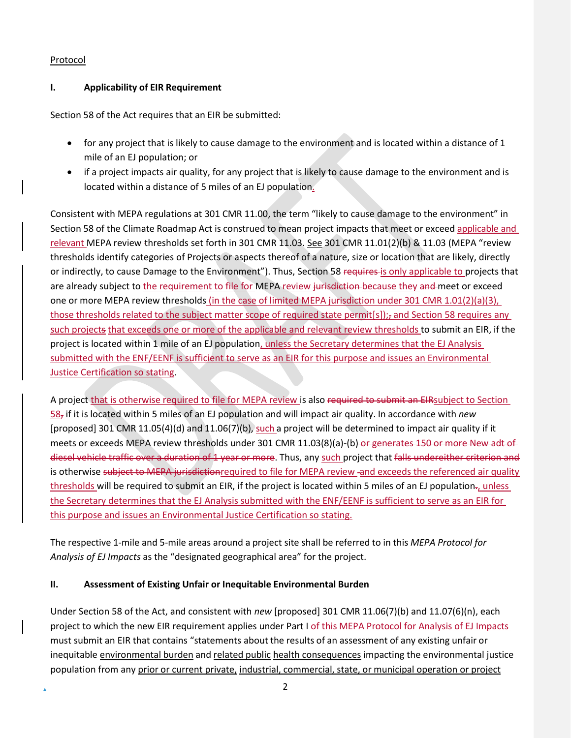## Protocol

## **I. Applicability of EIR Requirement**

Section 58 of the Act requires that an EIR be submitted:

- for any project that is likely to cause damage to the environment and is located within a distance of 1 mile of an EJ population; or
- if a project impacts air quality, for any project that is likely to cause damage to the environment and is located within a distance of 5 miles of an EJ population.

Consistent with MEPA regulations at 301 CMR 11.00, the term "likely to cause damage to the environment" in Section 58 of the Climate Roadmap Act is construed to mean project impacts that meet or exceed applicable and relevant MEPA review thresholds set forth in 301 CMR 11.03. See 301 CMR 11.01(2)(b) & 11.03 (MEPA "review thresholds identify categories of Projects or aspects thereof of a nature, size or location that are likely, directly or indirectly, to cause Damage to the Environment"). Thus, Section 58 requires-is only applicable to projects that are already subject to the requirement to file for MEPA review jurisdiction because they and meet or exceed one or more MEPA review thresholds (in the case of limited MEPA jurisdiction under 301 CMR 1.01(2)(a)(3), those thresholds related to the subject matter scope of required state permit[s]); and Section 58 requires any such projects that exceeds one or more of the applicable and relevant review thresholds to submit an EIR, if the project is located within 1 mile of an EJ population, unless the Secretary determines that the EJ Analysis submitted with the ENF/EENF is sufficient to serve as an EIR for this purpose and issues an Environmental Justice Certification so stating.

A project that is otherwise required to file for MEPA review is also required to submit an EIRsubject to Section 58, if it is located within 5 miles of an EJ population and will impact air quality. In accordance with *new* [proposed] 301 CMR 11.05(4)(d) and 11.06(7)(b), such a project will be determined to impact air quality if it meets or exceeds MEPA review thresholds under 301 CMR 11.03(8)(a)-(b)-or generates 150 or more New adt of diesel vehicle traffic over a duration of 1 year or more. Thus, any such project that falls undereither criterion and is otherwise subject to MEPA jurisdictionrequired to file for MEPA review -and exceeds the referenced air quality thresholds will be required to submit an EIR, if the project is located within 5 miles of an EJ population-, unless the Secretary determines that the EJ Analysis submitted with the ENF/EENF is sufficient to serve as an EIR for this purpose and issues an Environmental Justice Certification so stating.

The respective 1-mile and 5-mile areas around a project site shall be referred to in this *MEPA Protocol for Analysis of EJ Impacts* as the "designated geographical area" for the project.

# **II. Assessment of Existing Unfair or Inequitable Environmental Burden**

Under Section 58 of the Act, and consistent with *new* [proposed] 301 CMR 11.06(7)(b) and 11.07(6)(n), each project to which the new EIR requirement applies under Part I of this MEPA Protocol for Analysis of EJ Impacts must submit an EIR that contains "statements about the results of an assessment of any existing unfair or inequitable environmental burden and related public health consequences impacting the environmental justice population from any prior or current private, industrial, commercial, state, or municipal operation or project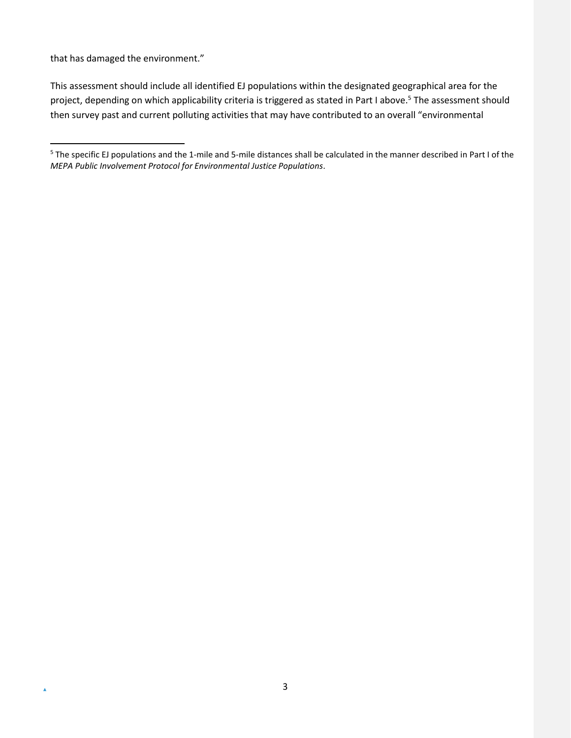that has damaged the environment."

 $\Delta$ 

This assessment should include all identified EJ populations within the designated geographical area for the project, depending on which applicability criteria is triggered as stated in Part I above[.](#page-5-0)<sup>5</sup> The assessment should then survey past and current polluting activities that may have contributed to an overall "environmental

<span id="page-5-0"></span><sup>&</sup>lt;sup>5</sup> The specific EJ populations and the 1-mile and 5-mile distances shall be calculated in the manner described in Part I of the *MEPA Public Involvement Protocol for Environmental Justice Populations*.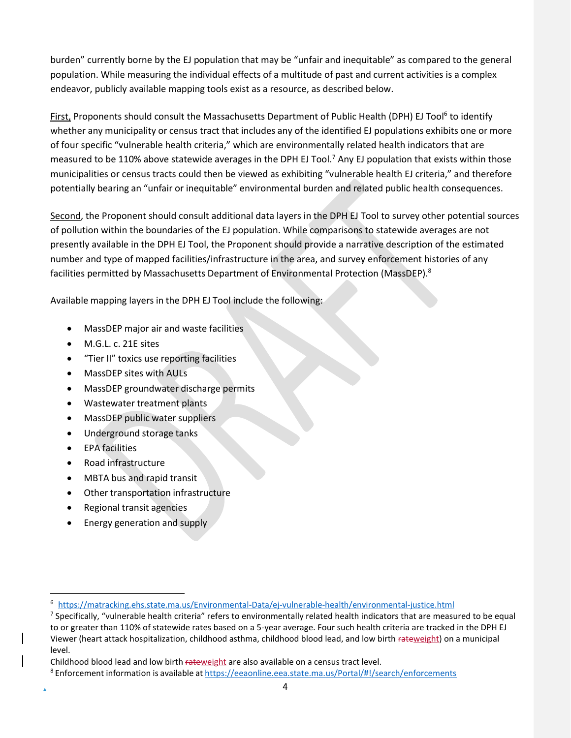burden" currently borne by the EJ population that may be "unfair and inequitable" as compared to the general population. While measuring the individual effects of a multitude of past and current activities is a complex endeavor, publicly available mapping tools exist as a resource, as described below.

First, Proponents shou[l](#page-6-0)d consult the Massachusetts Department of Public Health (DPH) EJ Tool<sup>6</sup> to identify whether any municipality or census tract that includes any of the identified EJ populations exhibits one or more of four specific "vulnerable health criteria," which are environmentally related health indicators that are measured to be 110% above statewide averages in the DPH EJ Tool.<sup>[7](#page-6-1)</sup> Any EJ population that exists within those municipalities or census tracts could then be viewed as exhibiting "vulnerable health EJ criteria," and therefore potentially bearing an "unfair or inequitable" environmental burden and related public health consequences.

Second, the Proponent should consult additional data layers in the DPH EJ Tool to survey other potential sources of pollution within the boundaries of the EJ population. While comparisons to statewide averages are not presently available in the DPH EJ Tool, the Proponent should provide a narrative description of the estimated number and type of mapped facilities/infrastructure in the area, and survey enforcement histories of any facilities permitted by Massachusetts Department of Environmental Protection (MassDEP).<sup>[8](#page-6-2)</sup>

Available mapping layers in the DPH EJ Tool include the following:

- MassDEP major air and waste facilities
- M.G.L. c. 21E sites
- "Tier II" toxics use reporting facilities
- MassDEP sites with AULs
- MassDEP groundwater discharge permits
- Wastewater treatment plants
- MassDEP public water suppliers
- Underground storage tanks
- EPA facilities
- Road infrastructure
- MBTA bus and rapid transit
- Other transportation infrastructure
- Regional transit agencies
- Energy generation and supply

<span id="page-6-0"></span><sup>6</sup> <https://matracking.ehs.state.ma.us/Environmental-Data/ej-vulnerable-health/environmental-justice.html>

<span id="page-6-1"></span> $^7$  Specifically, "vulnerable health criteria" refers to environmentally related health indicators that are measured to be equal to or greater than 110% of statewide rates based on a 5-year average. Four such health criteria are tracked in the DPH EJ Viewer (heart attack hospitalization, childhood asthma, childhood blood lead, and low birth rateweight) on a municipal level.

Childhood blood lead and low birth rateweight are also available on a census tract level.

<span id="page-6-2"></span><sup>8</sup> Enforcement information is available at [https://eeaonline.eea.state.ma.us/Portal/#!/search/enforcements](https://eeaonline.eea.state.ma.us/Portal/%23!/search/enforcements)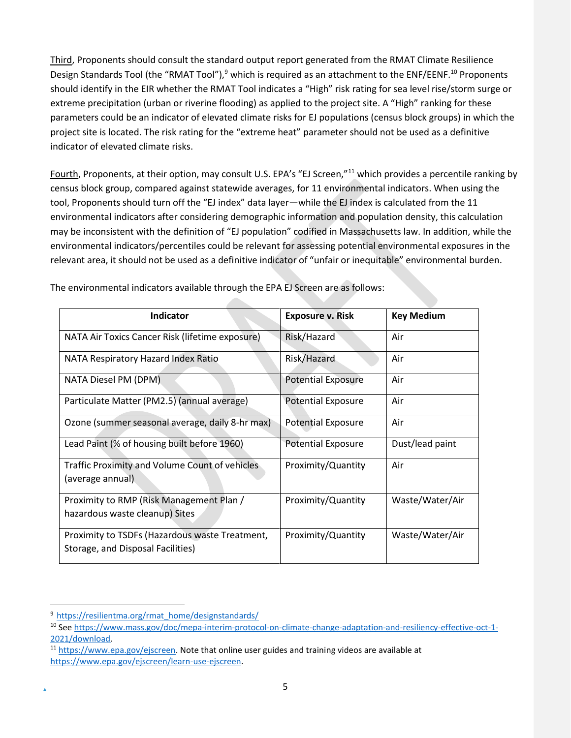Third, Proponents should consult the standard output report generated from the RMAT Climate Resilience Design Standards Tool (the "RMAT Tool"),<sup>[9](#page-7-0)</sup> which is required as an attachment to the ENF/EENF.<sup>[10](#page-7-1)</sup> Proponents should identify in the EIR whether the RMAT Tool indicates a "High" risk rating for sea level rise/storm surge or extreme precipitation (urban or riverine flooding) as applied to the project site. A "High" ranking for these parameters could be an indicator of elevated climate risks for EJ populations (census block groups) in which the project site is located. The risk rating for the "extreme heat" parameter should not be used as a definitive indicator of elevated climate risks.

Fourth, Proponents, at their option, may consult U.S. EPA's "EJ Screen,"<sup>[11](#page-7-2)</sup> which provides a percentile ranking by census block group, compared against statewide averages, for 11 environmental indicators. When using the tool, Proponents should turn off the "EJ index" data layer—while the EJ index is calculated from the 11 environmental indicators after considering demographic information and population density, this calculation may be inconsistent with the definition of "EJ population" codified in Massachusetts law. In addition, while the environmental indicators/percentiles could be relevant for assessing potential environmental exposures in the relevant area, it should not be used as a definitive indicator of "unfair or inequitable" environmental burden.

| <b>Indicator</b>                                                                    | <b>Exposure v. Risk</b>   | <b>Key Medium</b> |
|-------------------------------------------------------------------------------------|---------------------------|-------------------|
| NATA Air Toxics Cancer Risk (lifetime exposure)                                     | Risk/Hazard               | Air               |
| NATA Respiratory Hazard Index Ratio                                                 | Risk/Hazard               | Air               |
| NATA Diesel PM (DPM)                                                                | <b>Potential Exposure</b> | Air               |
| Particulate Matter (PM2.5) (annual average)                                         | <b>Potential Exposure</b> | Air               |
| Ozone (summer seasonal average, daily 8-hr max)                                     | <b>Potential Exposure</b> | Air               |
| Lead Paint (% of housing built before 1960)                                         | <b>Potential Exposure</b> | Dust/lead paint   |
| Traffic Proximity and Volume Count of vehicles<br>(average annual)                  | Proximity/Quantity        | Air               |
| Proximity to RMP (Risk Management Plan /                                            | Proximity/Quantity        | Waste/Water/Air   |
| hazardous waste cleanup) Sites                                                      |                           |                   |
| Proximity to TSDFs (Hazardous waste Treatment,<br>Storage, and Disposal Facilities) | Proximity/Quantity        | Waste/Water/Air   |

The environmental indicators available through the EPA EJ Screen are as follows:

<span id="page-7-0"></span><sup>&</sup>lt;sup>9</sup> [https://resilientma.org/rmat\\_home/designstandards/](https://resilientma.org/rmat_home/designstandards/)

<span id="page-7-1"></span><sup>10</sup> Se[e https://www.mass.gov/doc/mepa-interim-protocol-on-climate-change-adaptation-and-resiliency-effective-oct-1-](https://www.mass.gov/doc/mepa-interim-protocol-on-climate-change-adaptation-and-resiliency-effective-oct-1-2021/download) [2021/download.](https://www.mass.gov/doc/mepa-interim-protocol-on-climate-change-adaptation-and-resiliency-effective-oct-1-2021/download)

<span id="page-7-2"></span><sup>11</sup> [https://www.epa.gov/ejscreen. N](https://www.epa.gov/ejscreen)ote that online user guides and training videos are available at [https://www.epa.gov/ejscreen/learn-use-ejscreen.](https://www.epa.gov/ejscreen/learn-use-ejscreen)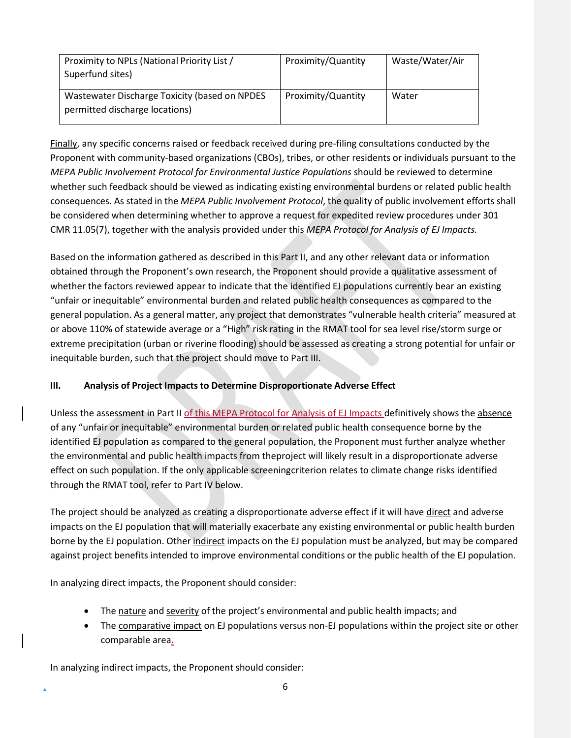| Proximity to NPLs (National Priority List /<br>Superfund sites)                 | Proximity/Quantity | Waste/Water/Air |
|---------------------------------------------------------------------------------|--------------------|-----------------|
| Wastewater Discharge Toxicity (based on NPDES<br>permitted discharge locations) | Proximity/Quantity | Water           |

Finally, any specific concerns raised or feedback received during pre-filing consultations conducted by the Proponent with community-based organizations (CBOs), tribes, or other residents or individuals pursuant to the *MEPA Public Involvement Protocol for Environmental Justice Populations* should be reviewed to determine whether such feedback should be viewed as indicating existing environmental burdens or related public health consequences. As stated in the *MEPA Public Involvement Protocol*, the quality of public involvement efforts shall be considered when determining whether to approve a request for expedited review procedures under 301 CMR 11.05(7), together with the analysis provided under this *MEPA Protocol for Analysis of EJ Impacts.*

Based on the information gathered as described in this Part II, and any other relevant data or information obtained through the Proponent's own research, the Proponent should provide a qualitative assessment of whether the factors reviewed appear to indicate that the identified EJ populations currently bear an existing "unfair or inequitable" environmental burden and related public health consequences as compared to the general population. As a general matter, any project that demonstrates "vulnerable health criteria" measured at or above 110% of statewide average or a "High" risk rating in the RMAT tool for sea level rise/storm surge or extreme precipitation (urban or riverine flooding) should be assessed as creating a strong potential for unfair or inequitable burden, such that the project should move to Part III.

## **III. Analysis of Project Impacts to Determine Disproportionate Adverse Effect**

Unless the assessment in Part II of this MEPA Protocol for Analysis of EJ Impacts definitively shows the absence of any "unfair or inequitable" environmental burden or related public health consequence borne by the identified EJ population as compared to the general population, the Proponent must further analyze whether the environmental and public health impacts from theproject will likely result in a disproportionate adverse effect on such population. If the only applicable screeningcriterion relates to climate change risks identified through the RMAT tool, refer to Part IV below.

The project should be analyzed as creating a disproportionate adverse effect if it will have direct and adverse impacts on the EJ population that will materially exacerbate any existing environmental or public health burden borne by the EJ population. Other indirect impacts on the EJ population must be analyzed, but may be compared against project benefits intended to improve environmental conditions or the public health of the EJ population.

In analyzing direct impacts, the Proponent should consider:

- The nature and severity of the project's environmental and public health impacts; and
- The comparative impact on EJ populations versus non-EJ populations within the project site or other comparable area.

In analyzing indirect impacts, the Proponent should consider: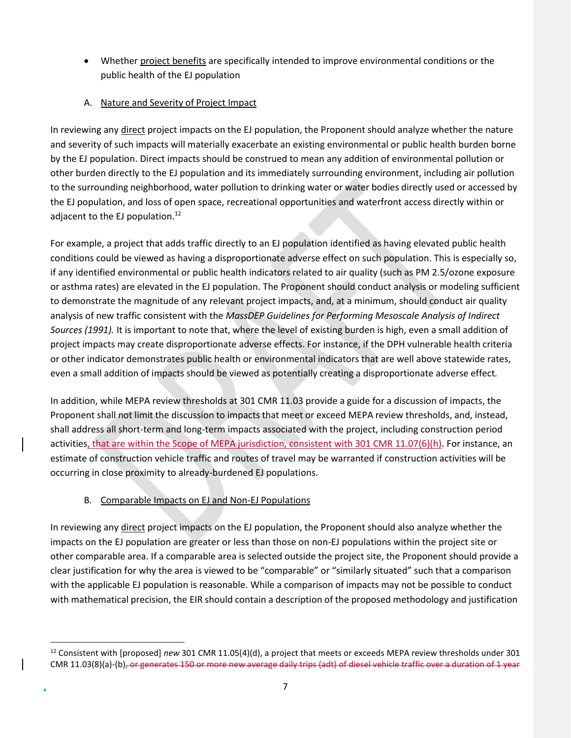• Whether project benefits are specifically intended to improve environmental conditions or the public health of the EJ population

# A. Nature and Severity of Project Impact

In reviewing any direct project impacts on the EJ population, the Proponent should analyze whether the nature and severity of such impacts will materially exacerbate an existing environmental or public health burden borne by the EJ population. Direct impacts should be construed to mean any addition of environmental pollution or other burden directly to the EJ population and its immediately surrounding environment, including air pollution to the surrounding neighborhood, water pollution to drinking water or water bodies directly used or accessed by the EJ population, and loss of open space, recreational opportunities and waterfront access directly within or adjacent to the EJ population.<sup>[12](#page-9-0)</sup>

For example, a project that adds traffic directly to an EJ population identified as having elevated public health conditions could be viewed as having a disproportionate adverse effect on such population. This is especially so, if any identified environmental or public health indicators related to air quality (such as PM 2.5/ozone exposure or asthma rates) are elevated in the EJ population. The Proponent should conduct analysis or modeling sufficient to demonstrate the magnitude of any relevant project impacts, and, at a minimum, should conduct air quality analysis of new traffic consistent with the *MassDEP Guidelines for Performing Mesoscale Analysis of Indirect Sources (1991).* It is important to note that, where the level of existing burden is high, even a small addition of project impacts may create disproportionate adverse effects. For instance, if the DPH vulnerable health criteria or other indicator demonstrates public health or environmental indicators that are well above statewide rates, even a small addition of impacts should be viewed as potentially creating a disproportionate adverse effect*.*

In addition, while MEPA review thresholds at 301 CMR 11.03 provide a guide for a discussion of impacts, the Proponent shall not limit the discussion to impacts that meet or exceed MEPA review thresholds, and, instead, shall address all short-term and long-term impacts associated with the project, including construction period activities, that are within the Scope of MEPA jurisdiction, consistent with 301 CMR 11.07(6)(h). For instance, an estimate of construction vehicle traffic and routes of travel may be warranted if construction activities will be occurring in close proximity to already-burdened EJ populations.

# B. Comparable Impacts on EJ and Non-EJ Populations

In reviewing any direct project impacts on the EJ population, the Proponent should also analyze whether the impacts on the EJ population are greater or less than those on non-EJ populations within the project site or other comparable area. If a comparable area is selected outside the project site, the Proponent should provide a clear justification for why the area is viewed to be "comparable" or "similarly situated" such that a comparison with the applicable EJ population is reasonable. While a comparison of impacts may not be possible to conduct with mathematical precision, the EIR should contain a description of the proposed methodology and justification

<span id="page-9-0"></span><sup>12</sup> Consistent with [proposed] *new* 301 CMR 11.05(4)(d), a project that meets or exceeds MEPA review thresholds under 301 CMR 11.03(8)(a)-(b), or generates 150 or more new average daily trips (adt) of diesel vehicle traffic over a duration of 1 year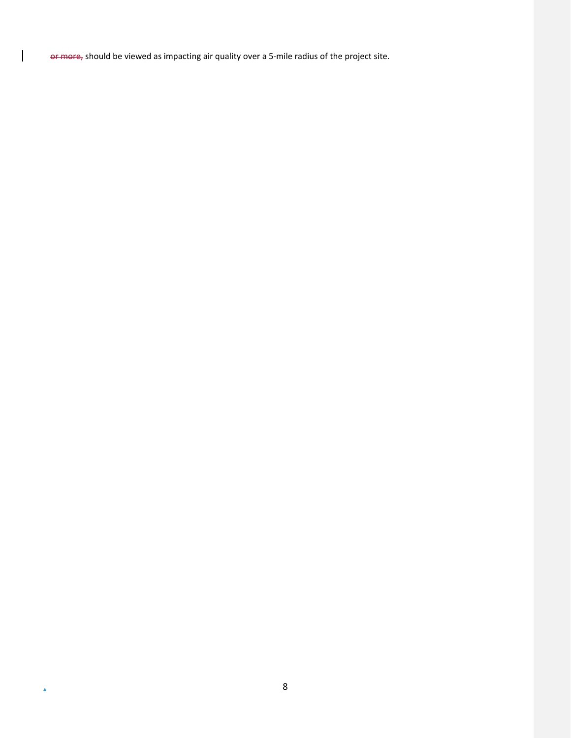or more, should be viewed as impacting air quality over a 5-mile radius of the project site.

 $\overline{\phantom{a}}$ 

 $\hat{\blacktriangle}$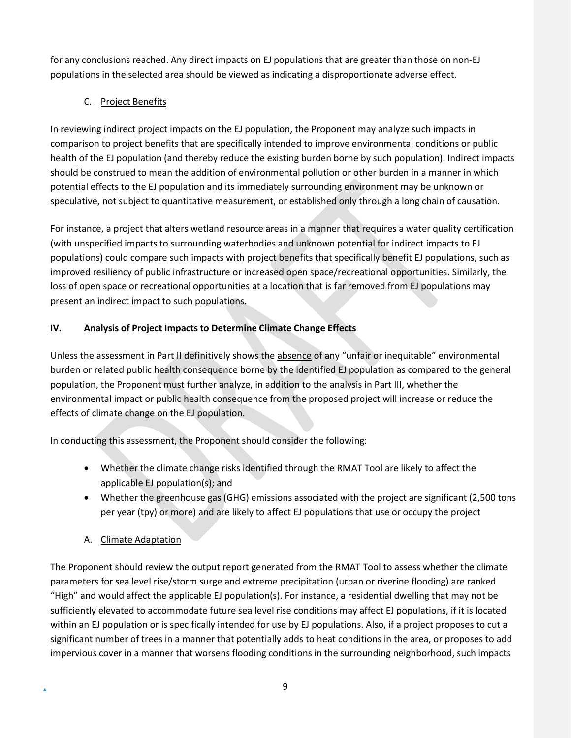for any conclusions reached. Any direct impacts on EJ populations that are greater than those on non-EJ populations in the selected area should be viewed as indicating a disproportionate adverse effect.

# C. Project Benefits

In reviewing indirect project impacts on the EJ population, the Proponent may analyze such impacts in comparison to project benefits that are specifically intended to improve environmental conditions or public health of the EJ population (and thereby reduce the existing burden borne by such population). Indirect impacts should be construed to mean the addition of environmental pollution or other burden in a manner in which potential effects to the EJ population and its immediately surrounding environment may be unknown or speculative, not subject to quantitative measurement, or established only through a long chain of causation.

For instance, a project that alters wetland resource areas in a manner that requires a water quality certification (with unspecified impacts to surrounding waterbodies and unknown potential for indirect impacts to EJ populations) could compare such impacts with project benefits that specifically benefit EJ populations, such as improved resiliency of public infrastructure or increased open space/recreational opportunities. Similarly, the loss of open space or recreational opportunities at a location that is far removed from EJ populations may present an indirect impact to such populations.

# **IV. Analysis of Project Impacts to Determine Climate Change Effects**

Unless the assessment in Part II definitively shows the absence of any "unfair or inequitable" environmental burden or related public health consequence borne by the identified EJ population as compared to the general population, the Proponent must further analyze, in addition to the analysis in Part III, whether the environmental impact or public health consequence from the proposed project will increase or reduce the effects of climate change on the EJ population.

In conducting this assessment, the Proponent should consider the following:

- Whether the climate change risks identified through the RMAT Tool are likely to affect the applicable EJ population(s); and
- Whether the greenhouse gas (GHG) emissions associated with the project are significant (2,500 tons per year (tpy) or more) and are likely to affect EJ populations that use or occupy the project
- A. Climate Adaptation

The Proponent should review the output report generated from the RMAT Tool to assess whether the climate parameters for sea level rise/storm surge and extreme precipitation (urban or riverine flooding) are ranked "High" and would affect the applicable EJ population(s). For instance, a residential dwelling that may not be sufficiently elevated to accommodate future sea level rise conditions may affect EJ populations, if it is located within an EJ population or is specifically intended for use by EJ populations. Also, if a project proposes to cut a significant number of trees in a manner that potentially adds to heat conditions in the area, or proposes to add impervious cover in a manner that worsens flooding conditions in the surrounding neighborhood, such impacts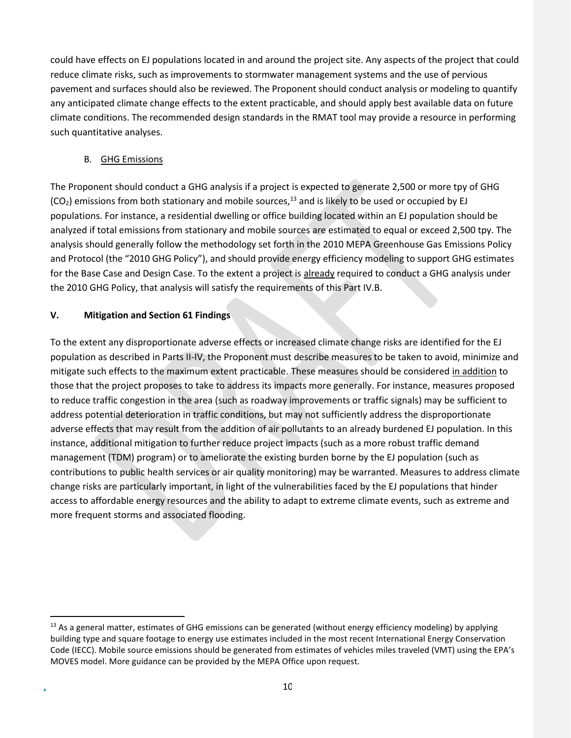could have effects on EJ populations located in and around the project site. Any aspects of the project that could reduce climate risks, such as improvements to stormwater management systems and the use of pervious pavement and surfaces should also be reviewed. The Proponent should conduct analysis or modeling to quantify any anticipated climate change effects to the extent practicable, and should apply best available data on future climate conditions. The recommended design standards in the RMAT tool may provide a resource in performing such quantitative analyses.

## B. GHG Emissions

The Proponent should conduct a GHG analysis if a project is expected to generate 2,500 or more tpy of GHG  $(CO<sub>2</sub>)$  emissions from both stationary and mobile sources,<sup>[13](#page-12-0)</sup> and is likely to be used or occupied by EJ populations. For instance, a residential dwelling or office building located within an EJ population should be analyzed if total emissions from stationary and mobile sources are estimated to equal or exceed 2,500 tpy. The analysis should generally follow the methodology set forth in the 2010 MEPA Greenhouse Gas Emissions Policy and Protocol (the "2010 GHG Policy"), and should provide energy efficiency modeling to support GHG estimates for the Base Case and Design Case. To the extent a project is already required to conduct a GHG analysis under the 2010 GHG Policy, that analysis will satisfy the requirements of this Part IV.B.

## **V. Mitigation and Section 61 Findings**

To the extent any disproportionate adverse effects or increased climate change risks are identified for the EJ population as described in Parts II-IV, the Proponent must describe measures to be taken to avoid, minimize and mitigate such effects to the maximum extent practicable. These measures should be considered in addition to those that the project proposes to take to address its impacts more generally. For instance, measures proposed to reduce traffic congestion in the area (such as roadway improvements or traffic signals) may be sufficient to address potential deterioration in traffic conditions, but may not sufficiently address the disproportionate adverse effects that may result from the addition of air pollutants to an already burdened EJ population. In this instance, additional mitigation to further reduce project impacts (such as a more robust traffic demand management (TDM) program) or to ameliorate the existing burden borne by the EJ population (such as contributions to public health services or air quality monitoring) may be warranted. Measures to address climate change risks are particularly important, in light of the vulnerabilities faced by the EJ populations that hinder access to affordable energy resources and the ability to adapt to extreme climate events, such as extreme and more frequent storms and associated flooding.

<span id="page-12-0"></span> $13$  As a general matter, estimates of GHG emissions can be generated (without energy efficiency modeling) by applying building type and square footage to energy use estimates included in the most recent International Energy Conservation Code (IECC). Mobile source emissions should be generated from estimates of vehicles miles traveled (VMT) using the EPA's MOVES model. More guidance can be provided by the MEPA Office upon request.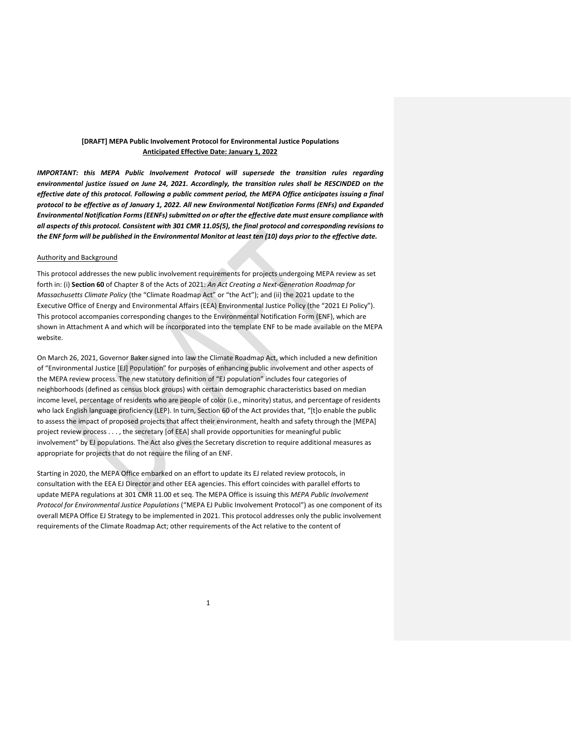### **[DRAFT] MEPA Public Involvement Protocol for Environmental Justice Populations Anticipated Effective Date: January 1, 2022**

*IMPORTANT: this MEPA Public Involvement Protocol will supersede the transition rules regarding environmental justice issued on June 24, 2021. Accordingly, the transition rules shall be RESCINDED on the effective date of this protocol. Following a public comment period, the MEPA Office anticipates issuing a final protocol to be effective as of January 1, 2022. All new Environmental Notification Forms (ENFs) and Expanded Environmental Notification Forms(EENFs)submitted on or after the effective date must ensure compliance with* all aspects of this protocol. Consistent with 301 CMR 11.05(5), the final protocol and corresponding revisions to the ENF form will be published in the Environmental Monitor at least ten (10) days prior to the effective date.

#### Authority and Background

This protocol addresses the new public involvement requirements for projects undergoing MEPA review as set forth in: (i) **Section 60** of Chapter 8 of the Acts of 2021: *An Act Creating a Next-Generation Roadmap for Massachusetts Climate Policy* (the "Climate Roadmap Act" or "the Act"); and (ii) the 2021 update to the Executive Office of Energy and Environmental Affairs (EEA) Environmental Justice Policy (the "2021 EJ Policy"). This protocol accompanies corresponding changes to the Environmental Notification Form (ENF), which are shown in Attachment A and which will be incorporated into the template ENF to be made available on the MEPA website.

On March 26, 2021, Governor Baker signed into law the Climate Roadmap Act, which included a new definition of "Environmental Justice [EJ] Population" for purposes of enhancing public involvement and other aspects of the MEPA review process. The new statutory definition of "EJ population" includes four categories of neighborhoods (defined as census block groups) with certain demographic characteristics based on median income level, percentage of residents who are people of color (i.e., minority) status, and percentage of residents who lack English language proficiency (LEP). In turn, Section 60 of the Act provides that, "[t]o enable the public to assess the impact of proposed projects that affect their environment, health and safety through the [MEPA] project review process . . . , the secretary [of EEA] shall provide opportunities for meaningful public involvement" by EJ populations. The Act also gives the Secretary discretion to require additional measures as appropriate for projects that do not require the filing of an ENF.

Starting in 2020, the MEPA Office embarked on an effort to update its EJ related review protocols, in consultation with the EEA EJ Director and other EEA agencies. This effort coincides with parallel efforts to update MEPA regulations at 301 CMR 11.00 et seq. The MEPA Office is issuing this *MEPA Public Involvement Protocol for Environmental Justice Populations* ("MEPA EJ Public Involvement Protocol") as one component of its overall MEPA Office EJ Strategy to be implemented in 2021. This protocol addresses only the public involvement requirements of the Climate Roadmap Act; other requirements of the Act relative to the content of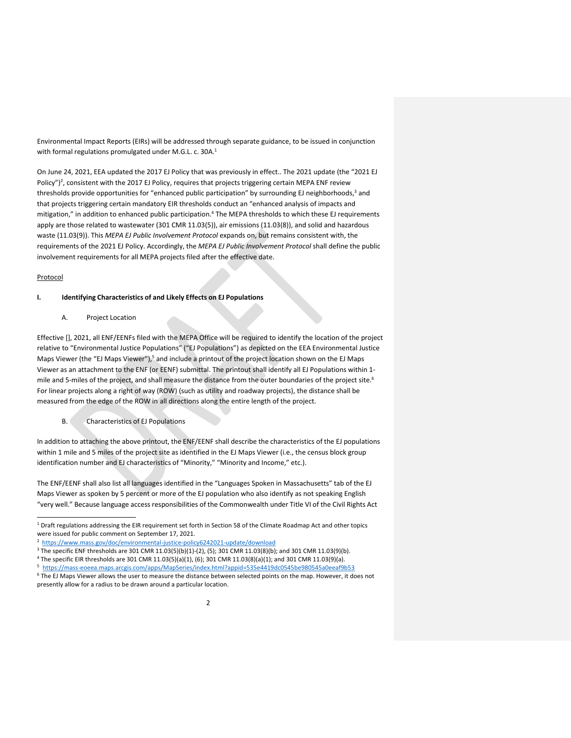Environmental Impact Reports (EIRs) will be addressed through separate guidance, to be issued in conjunction with formal regulations promulgated under M.G.L. c. 30[A.](#page-14-0)<sup>1</sup>

On June 24, 2021, EEA updated the 2017 EJ Policy that was previously in effect.. The 2021 update (the "2021 EJ Policy"[\)](#page-14-1)<sup>2</sup>, consistent with the 2017 EJ Policy, requires that projects triggering certain MEPA ENF review thresholds provide opportunities for "enhanced public participation" by surrounding EJ neighborhood[s,](#page-14-2)<sup>3</sup> and that projects triggering certain mandatory EIR thresholds conduct an "enhanced analysis of impacts and mitigation," in addition to enhanced public participation[.](#page-14-3)<sup>4</sup> The MEPA thresholds to which these EJ requirements apply are those related to wastewater (301 CMR 11.03(5)), air emissions (11.03(8)), and solid and hazardous waste (11.03(9)). This *MEPA EJ Public Involvement Protocol* expands on, but remains consistent with, the requirements of the 2021 EJ Policy. Accordingly, the *MEPA EJ Public Involvement Protocol* shall define the public involvement requirements for all MEPA projects filed after the effective date.

### Protocol

### **I. Identifying Characteristics of and Likely Effects on EJ Populations**

A. Project Location

Effective [], 2021, all ENF/EENFs filed with the MEPA Office will be required to identify the location of the project relative to "Environmental Justice Populations" ("EJ Populations") as depicted on the EEA Environmental Justice Maps Viewer (the "EJ Maps Viewer"[\),](#page-14-4)<sup>5</sup> and include a printout of the project location shown on the EJ Maps Viewer as an attachment to the ENF (or EENF) submittal. The printout shall identify all EJ Populations within 1- mile and 5-miles of the project, and shall measure the distance from the outer boundaries of the project site.<sup>[6](#page-14-5)</sup> For linear projects along a right of way (ROW) (such as utility and roadway projects), the distance shall be measured from the edge of the ROW in all directions along the entire length of the project.

B. Characteristics of EJ Populations

In addition to attaching the above printout, the ENF/EENF shall describe the characteristics of the EJ populations within 1 mile and 5 miles of the project site as identified in the EJ Maps Viewer (i.e., the census block group identification number and EJ characteristics of "Minority," "Minority and Income," etc.).

The ENF/EENF shall also list all languages identified in the "Languages Spoken in Massachusetts" tab of the EJ Maps Viewer as spoken by 5 percent or more of the EJ population who also identify as not speaking English "very well." Because language access responsibilities of the Commonwealth under Title VI of the Civil Rights Act

<span id="page-14-2"></span> $3$  The specific ENF thresholds are 301 CMR 11.03(5)(b)(1)-(2), (5); 301 CMR 11.03(8)(b); and 301 CMR 11.03(9)(b).

<span id="page-14-0"></span><sup>1</sup> Draft regulations addressing the EIR requirement set forth in Section 58 of the Climate Roadmap Act and other topics were issued for public comment on September 17, 2021.

<span id="page-14-1"></span><sup>2</sup> <https://www.mass.gov/doc/environmental-justice-policy6242021-update/download>

<span id="page-14-3"></span><sup>4</sup> The specific EIR thresholds are 301 CMR 11.03(5)(a)(1), (6); 301 CMR 11.03(8)(a)(1); and 301 CMR 11.03(9)(a).

<span id="page-14-4"></span><sup>5</sup> <https://mass-eoeea.maps.arcgis.com/apps/MapSeries/index.html?appid=535e4419dc0545be980545a0eeaf9b53>

<span id="page-14-5"></span><sup>6</sup> The EJ Maps Viewer allows the user to measure the distance between selected points on the map. However, it does not presently allow for a radius to be drawn around a particular location.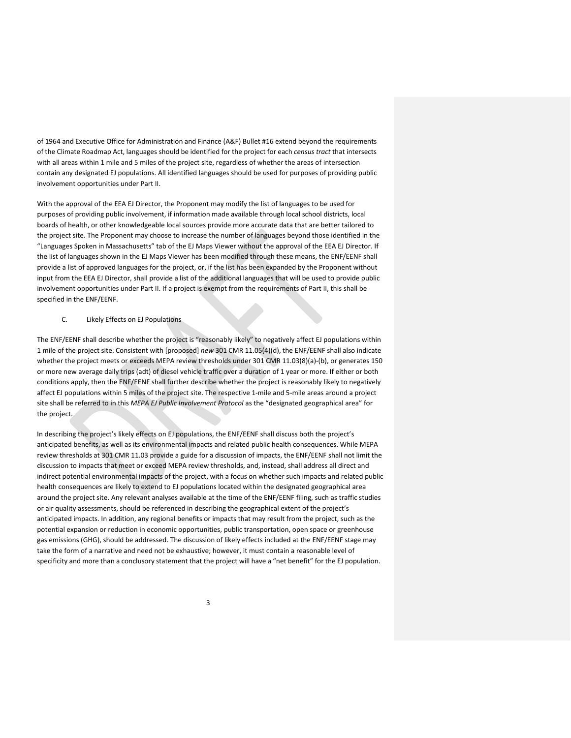of 1964 and Executive Office for Administration and Finance (A&F) Bullet #16 extend beyond the requirements of the Climate Roadmap Act, languages should be identified for the project for each *census tract* that intersects with all areas within 1 mile and 5 miles of the project site, regardless of whether the areas of intersection contain any designated EJ populations. All identified languages should be used for purposes of providing public involvement opportunities under Part II.

With the approval of the EEA EJ Director, the Proponent may modify the list of languages to be used for purposes of providing public involvement, if information made available through local school districts, local boards of health, or other knowledgeable local sources provide more accurate data that are better tailored to the project site. The Proponent may choose to increase the number of languages beyond those identified in the "Languages Spoken in Massachusetts" tab of the EJ Maps Viewer without the approval of the EEA EJ Director. If the list of languages shown in the EJ Maps Viewer has been modified through these means, the ENF/EENF shall provide a list of approved languages for the project, or, if the list has been expanded by the Proponent without input from the EEA EJ Director, shall provide a list of the additional languages that will be used to provide public involvement opportunities under Part II. If a project is exempt from the requirements of Part II, this shall be specified in the ENF/EENF.

### C. Likely Effects on EJ Populations

The ENF/EENF shall describe whether the project is "reasonably likely" to negatively affect EJ populations within 1 mile of the project site. Consistent with [proposed] *new* 301 CMR 11.05(4)(d), the ENF/EENF shall also indicate whether the project meets or exceeds MEPA review thresholds under 301 CMR 11.03(8)(a)-(b), or generates 150 or more new average daily trips (adt) of diesel vehicle traffic over a duration of 1 year or more. If either or both conditions apply, then the ENF/EENF shall further describe whether the project is reasonably likely to negatively affect EJ populations within 5 miles of the project site. The respective 1-mile and 5-mile areas around a project site shall be referred to in this *MEPA EJ Public Involvement Protocol* as the "designated geographical area" for the project.

In describing the project's likely effects on EJ populations, the ENF/EENF shall discuss both the project's anticipated benefits, as well as its environmental impacts and related public health consequences. While MEPA review thresholds at 301 CMR 11.03 provide a guide for a discussion of impacts, the ENF/EENF shall not limit the discussion to impacts that meet or exceed MEPA review thresholds, and, instead, shall address all direct and indirect potential environmental impacts of the project, with a focus on whether such impacts and related public health consequences are likely to extend to EJ populations located within the designated geographical area around the project site. Any relevant analyses available at the time of the ENF/EENF filing, such as traffic studies or air quality assessments, should be referenced in describing the geographical extent of the project's anticipated impacts. In addition, any regional benefits or impacts that may result from the project, such as the potential expansion or reduction in economic opportunities, public transportation, open space or greenhouse gas emissions (GHG), should be addressed. The discussion of likely effects included at the ENF/EENF stage may take the form of a narrative and need not be exhaustive; however, it must contain a reasonable level of specificity and more than a conclusory statement that the project will have a "net benefit" for the EJ population.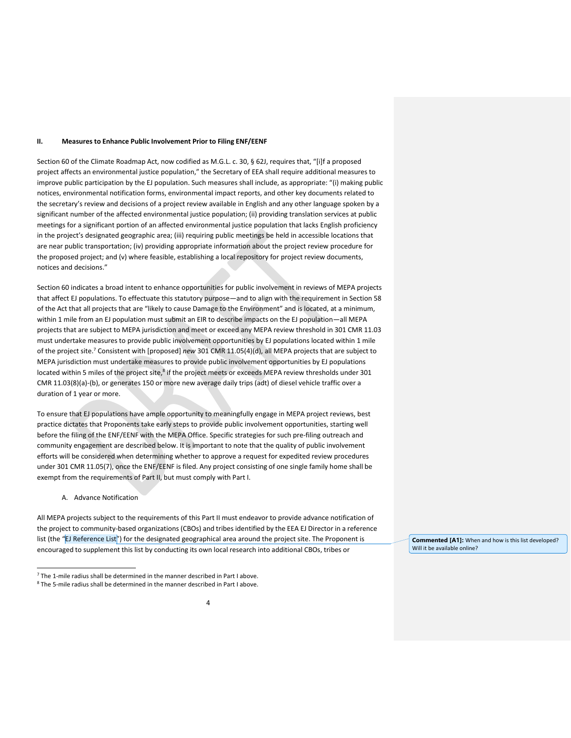#### **II. Measures to Enhance Public Involvement Prior to Filing ENF/EENF**

Section 60 of the Climate Roadmap Act, now codified as M.G.L. c. 30, § 62J, requires that, "[i]f a proposed project affects an environmental justice population," the Secretary of EEA shall require additional measures to improve public participation by the EJ population. Such measures shall include, as appropriate: "(i) making public notices, environmental notification forms, environmental impact reports, and other key documents related to the secretary's review and decisions of a project review available in English and any other language spoken by a significant number of the affected environmental justice population; (ii) providing translation services at public meetings for a significant portion of an affected environmental justice population that lacks English proficiency in the project's designated geographic area; (iii) requiring public meetings be held in accessible locations that are near public transportation; (iv) providing appropriate information about the project review procedure for the proposed project; and (v) where feasible, establishing a local repository for project review documents, notices and decisions."

Section 60 indicates a broad intent to enhance opportunities for public involvement in reviews of MEPA projects that affect EJ populations. To effectuate this statutory purpose—and to align with the requirement in Section 58 of the Act that all projects that are "likely to cause Damage to the Environment" and is located, at a minimum, within 1 mile from an EJ population must submit an EIR to describe impacts on the EJ population—all MEPA projects that are subject to MEPA jurisdiction and meet or exceed any MEPA review threshold in 301 CMR 11.03 must undertake measures to provide public involvement opportunities by EJ populations located within 1 mile of the project site.[7](#page-16-0) Consistent with [proposed] *new* 301 CMR 11.05(4)(d), all MEPA projects that are subject to MEPA jurisdiction must undertake measures to provide public involvement opportunities by EJ populations located within 5 miles of the project site, $^8$  $^8$  if the project meets or exceeds MEPA review thresholds under 301 CMR 11.03(8)(a)-(b), or generates 150 or more new average daily trips (adt) of diesel vehicle traffic over a duration of 1 year or more.

To ensure that EJ populations have ample opportunity to meaningfully engage in MEPA project reviews, best practice dictates that Proponents take early steps to provide public involvement opportunities, starting well before the filing of the ENF/EENF with the MEPA Office. Specific strategies for such pre-filing outreach and community engagement are described below. It is important to note that the quality of public involvement efforts will be considered when determining whether to approve a request for expedited review procedures under 301 CMR 11.05(7), once the ENF/EENF is filed. Any project consisting of one single family home shall be exempt from the requirements of Part II, but must comply with Part I.

A. Advance Notification

All MEPA projects subject to the requirements of this Part II must endeavor to provide advance notification of the project to community-based organizations (CBOs) and tribes identified by the EEA EJ Director in a reference list (the "EJ Reference List") for the designated geographical area around the project site. The Proponent is encouraged to supplement this list by conducting its own local research into additional CBOs, tribes or

**Commented [A1]:** When and how is this list developed? Will it be available online?

<span id="page-16-0"></span> $7$  The 1-mile radius shall be determined in the manner described in Part I above.

<span id="page-16-1"></span><sup>8</sup> The 5-mile radius shall be determined in the manner described in Part I above.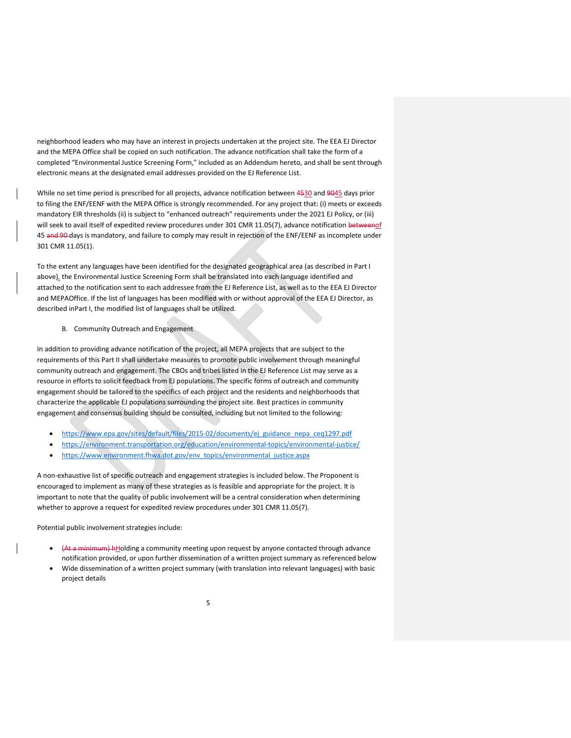neighborhood leaders who may have an interest in projects undertaken at the project site. The EEA EJ Director and the MEPA Office shall be copied on such notification. The advance notification shall take the form of a completed "Environmental Justice Screening Form," included as an Addendum hereto, and shall be sent through electronic means at the designated email addresses provided on the EJ Reference List.

While no set time period is prescribed for all projects, advance notification between 4530 and 9045 days prior to filing the ENF/EENF with the MEPA Office is strongly recommended. For any project that: (i) meets or exceeds mandatory EIR thresholds (ii) is subject to "enhanced outreach" requirements under the 2021 EJ Policy, or (iii) will seek to avail itself of expedited review procedures under 301 CMR 11.05(7), advance notification betweenof 45 and 90 days is mandatory, and failure to comply may result in rejection of the ENF/EENF as incomplete under 301 CMR 11.05(1).

To the extent any languages have been identified for the designated geographical area (as described in Part I above), the Environmental Justice Screening Form shall be translated into each language identified and attached to the notification sent to each addressee from the EJ Reference List, as well as to the EEA EJ Director and MEPAOffice. If the list of languages has been modified with or without approval of the EEA EJ Director, as described inPart I, the modified list of languages shall be utilized.

### B. Community Outreach and Engagement

In addition to providing advance notification of the project, all MEPA projects that are subject to the requirements of this Part II shall undertake measures to promote public involvement through meaningful community outreach and engagement. The CBOs and tribes listed in the EJ Reference List may serve as a resource in efforts to solicit feedback from EJ populations. The specific forms of outreach and community engagement should be tailored to the specifics of each project and the residents and neighborhoods that characterize the applicable EJ populations surrounding the project site. Best practices in community engagement and consensus building should be consulted, including but not limited to the following:

- [https://www.epa.gov/sites/default/files/2015-02/documents/ej\\_guidance\\_nepa\\_ceq1297.pdf](https://www.epa.gov/sites/default/files/2015-02/documents/ej_guidance_nepa_ceq1297.pdf)
- <https://environment.transportation.org/education/environmental-topics/environmental-justice/>
- [https://www.environment.fhwa.dot.gov/env\\_topics/environmental\\_justice.aspx](https://www.environment.fhwa.dot.gov/env_topics/environmental_justice.aspx)

A non-exhaustive list of specific outreach and engagement strategies is included below. The Proponent is encouraged to implement as many of these strategies as is feasible and appropriate for the project. It is important to note that the quality of public involvement will be a central consideration when determining whether to approve a request for expedited review procedures under 301 CMR 11.05(7).

Potential public involvement strategies include:

- (At a minimum) hHolding a community meeting upon request by anyone contacted through advance notification provided, or upon further dissemination of a written project summary as referenced below
- Wide dissemination of a written project summary (with translation into relevant languages) with basic project details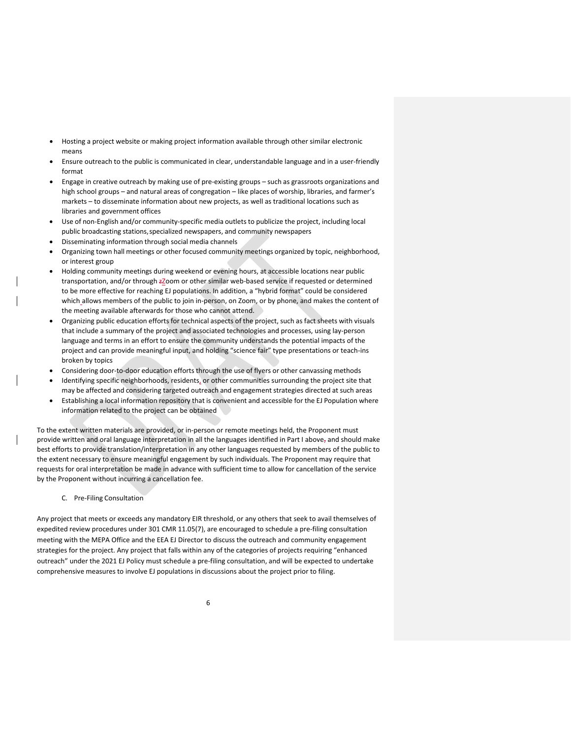- Hosting a project website or making project information available through other similar electronic means
- Ensure outreach to the public is communicated in clear, understandable language and in a user-friendly format
- Engage in creative outreach by making use of pre-existing groups such as grassroots organizations and high school groups – and natural areas of congregation – like places of worship, libraries, and farmer's markets – to disseminate information about new projects, as well as traditional locations such as libraries and government offices
- Use of non-English and/or community-specific media outlets to publicize the project, including local public broadcasting stations,specialized newspapers, and community newspapers
- Disseminating information through social media channels
- Organizing town hall meetings or other focused community meetings organized by topic, neighborhood, or interest group
- Holding community meetings during weekend or evening hours, at accessible locations near public transportation, and/or through zZoom or other similar web-based service if requested or determined to be more effective for reaching EJ populations. In addition, a "hybrid format" could be considered which\_allows members of the public to join in-person, on Zoom, or by phone, and makes the content of the meeting available afterwards for those who cannot attend.
- Organizing public education efforts for technical aspects of the project, such as fact sheets with visuals that include a summary of the project and associated technologies and processes, using lay-person language and terms in an effort to ensure the community understands the potential impacts of the project and can provide meaningful input, and holding "science fair" type presentations or teach-ins broken by topics
- Considering door-to-door education efforts through the use of flyers or other canvassing methods
- Identifying specific neighborhoods, residents, or other communities surrounding the project site that may be affected and considering targeted outreach and engagement strategies directed at such areas
- Establishing a local information repository that is convenient and accessible for the EJ Population where information related to the project can be obtained

To the extent written materials are provided, or in-person or remote meetings held, the Proponent must provide written and oral language interpretation in all the languages identified in Part I above, and should make best efforts to provide translation/interpretation in any other languages requested by members of the public to the extent necessary to ensure meaningful engagement by such individuals. The Proponent may require that requests for oral interpretation be made in advance with sufficient time to allow for cancellation of the service by the Proponent without incurring a cancellation fee.

C. Pre-Filing Consultation

Any project that meets or exceeds any mandatory EIR threshold, or any others that seek to avail themselves of expedited review procedures under 301 CMR 11.05(7), are encouraged to schedule a pre-filing consultation meeting with the MEPA Office and the EEA EJ Director to discuss the outreach and community engagement strategies for the project. Any project that falls within any of the categories of projects requiring "enhanced outreach" under the 2021 EJ Policy must schedule a pre-filing consultation, and will be expected to undertake comprehensive measures to involve EJ populations in discussions about the project prior to filing.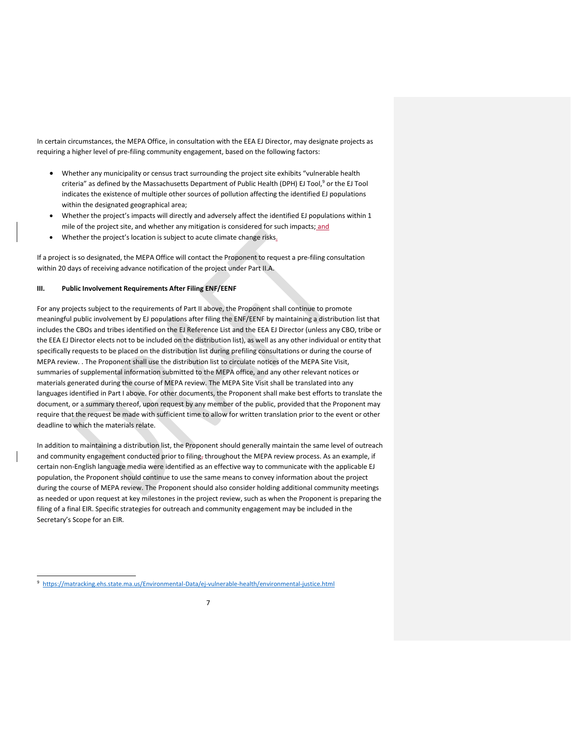In certain circumstances, the MEPA Office, in consultation with the EEA EJ Director, may designate projects as requiring a higher level of pre-filing community engagement, based on the following factors:

- Whether any municipality or census tract surrounding the project site exhibits "vulnerable health criteria" as defined by the Massachusetts Department [o](#page-19-0)f Public Health (DPH) EJ Tool,<sup>9</sup> or the EJ Tool indicates the existence of multiple other sources of pollution affecting the identified EJ populations within the designated geographical area;
- Whether the project's impacts will directly and adversely affect the identified EJ populations within 1 mile of the project site, and whether any mitigation is considered for such impacts; and
- Whether the project's location is subject to acute climate change risks.

If a project is so designated, the MEPA Office will contact the Proponent to request a pre-filing consultation within 20 days of receiving advance notification of the project under Part II.A.

### **III. Public Involvement Requirements After Filing ENF/EENF**

For any projects subject to the requirements of Part II above, the Proponent shall continue to promote meaningful public involvement by EJ populations after filing the ENF/EENF by maintaining a distribution list that includes the CBOs and tribes identified on the EJ Reference List and the EEA EJ Director (unless any CBO, tribe or the EEA EJ Director elects not to be included on the distribution list), as well as any other individual or entity that specifically requests to be placed on the distribution list during prefiling consultations or during the course of MEPA review. . The Proponent shall use the distribution list to circulate notices of the MEPA Site Visit, summaries of supplemental information submitted to the MEPA office, and any other relevant notices or materials generated during the course of MEPA review. The MEPA Site Visit shall be translated into any languages identified in Part I above. For other documents, the Proponent shall make best efforts to translate the document, or a summary thereof, upon request by any member of the public, provided that the Proponent may require that the request be made with sufficient time to allow for written translation prior to the event or other deadline to which the materials relate.

In addition to maintaining a distribution list, the Proponent should generally maintain the same level of outreach and community engagement conducted prior to filing, throughout the MEPA review process. As an example, if certain non-English language media were identified as an effective way to communicate with the applicable EJ population, the Proponent should continue to use the same means to convey information about the project during the course of MEPA review. The Proponent should also consider holding additional community meetings as needed or upon request at key milestones in the project review, such as when the Proponent is preparing the filing of a final EIR. Specific strategies for outreach and community engagement may be included in the Secretary's Scope for an EIR.

<span id="page-19-0"></span><sup>9</sup> <https://matracking.ehs.state.ma.us/Environmental-Data/ej-vulnerable-health/environmental-justice.html>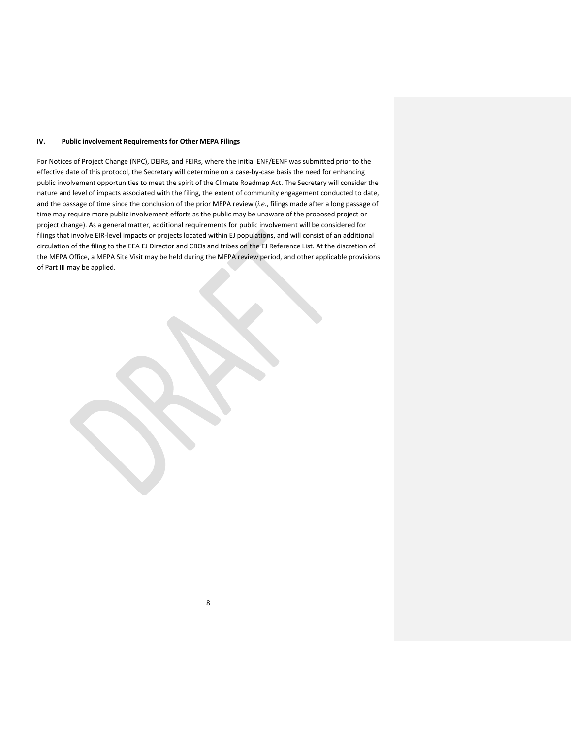### **IV. Public involvement Requirements for Other MEPA Filings**

For Notices of Project Change (NPC), DEIRs, and FEIRs, where the initial ENF/EENF was submitted prior to the effective date of this protocol, the Secretary will determine on a case-by-case basis the need for enhancing public involvement opportunities to meet the spirit of the Climate Roadmap Act. The Secretary will consider the nature and level of impacts associated with the filing, the extent of community engagement conducted to date, and the passage of time since the conclusion of the prior MEPA review (*i.e.*, filings made after a long passage of time may require more public involvement efforts as the public may be unaware of the proposed project or project change). As a general matter, additional requirements for public involvement will be considered for filings that involve EIR-level impacts or projects located within EJ populations, and will consist of an additional circulation of the filing to the EEA EJ Director and CBOs and tribes on the EJ Reference List. At the discretion of the MEPA Office, a MEPA Site Visit may be held during the MEPA review period, and other applicable provisions of Part III may be applied.

8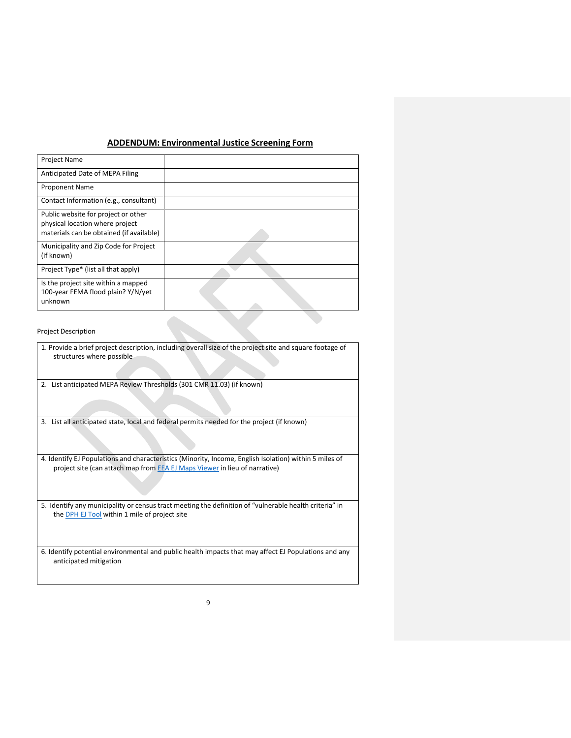## **ADDENDUM: Environmental Justice Screening Form**

Project Description

1. Provide a brief project description, including overall size of the project site and square footage of structures where possible

2. List anticipated MEPA Review Thresholds (301 CMR 11.03) (if known)

3. List all anticipated state, local and federal permits needed for the project (if known)

4. Identify EJ Populations and characteristics (Minority, Income, English Isolation) within 5 miles of project site (can attach map from EEA [EJ Maps](https://mass-eoeea.maps.arcgis.com/apps/MapSeries/index.html?appid=535e4419dc0545be980545a0eeaf9b53) Viewer in lieu of narrative)

5. Identify any municipality or census tract meeting the definition of "vulnerable health criteria" in the **[DPH EJ](https://matracking.ehs.state.ma.us/Environmental-Data/ej-vulnerable-health/environmental-justice.html) Tool** within 1 mile of project site

6. Identify potential environmental and public health impacts that may affect EJ Populations and any anticipated mitigation